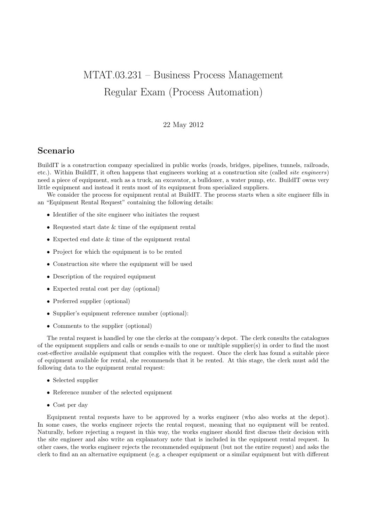## MTAT.03.231 – Business Process Management Regular Exam (Process Automation)

## 22 May 2012

## Scenario

BuildIT is a construction company specialized in public works (roads, bridges, pipelines, tunnels, railroads, etc.). Within BuildIT, it often happens that engineers working at a construction site (called site engineers) need a piece of equipment, such as a truck, an excavator, a bulldozer, a water pump, etc. BuildIT owns very little equipment and instead it rents most of its equipment from specialized suppliers.

We consider the process for equipment rental at BuildIT. The process starts when a site engineer fills in an "Equipment Rental Request" containing the following details:

- Identifier of the site engineer who initiates the request
- Requested start date & time of the equipment rental
- Expected end date & time of the equipment rental
- Project for which the equipment is to be rented
- Construction site where the equipment will be used
- Description of the required equipment
- Expected rental cost per day (optional)
- Preferred supplier (optional)
- Supplier's equipment reference number (optional):
- Comments to the supplier (optional)

The rental request is handled by one the clerks at the company's depot. The clerk consults the catalogues of the equipment suppliers and calls or sends e-mails to one or multiple supplier(s) in order to find the most cost-effective available equipment that complies with the request. Once the clerk has found a suitable piece of equipment available for rental, she recommends that it be rented. At this stage, the clerk must add the following data to the equipment rental request:

- Selected supplier
- Reference number of the selected equipment
- Cost per day

Equipment rental requests have to be approved by a works engineer (who also works at the depot). In some cases, the works engineer rejects the rental request, meaning that no equipment will be rented. Naturally, before rejecting a request in this way, the works engineer should first discuss their decision with the site engineer and also write an explanatory note that is included in the equipment rental request. In other cases, the works engineer rejects the recommended equipment (but not the entire request) and asks the clerk to find an an alternative equipment (e.g. a cheaper equipment or a similar equipment but with different